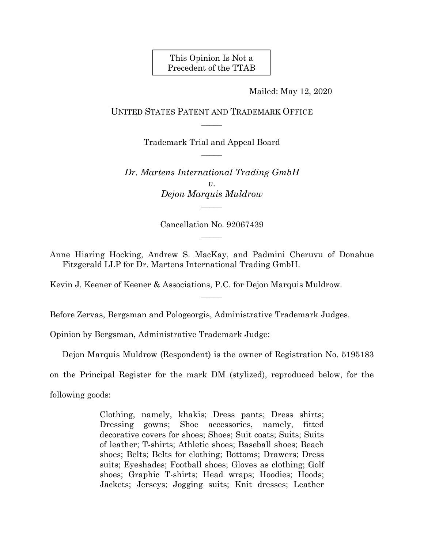This Opinion Is Not a Precedent of the TTAB

Mailed: May 12, 2020

UNITED STATES PATENT AND TRADEMARK OFFICE  $\overline{\phantom{a}}$ 

> Trademark Trial and Appeal Board  $\overline{\phantom{a}}$

*Dr. Martens International Trading GmbH v*. *Dejon Marquis Muldrow*   $\overline{\phantom{a}}$ 

> Cancellation No. 92067439  $\overline{\phantom{a}}$

Anne Hiaring Hocking, Andrew S. MacKay, and Padmini Cheruvu of Donahue Fitzgerald LLP for Dr. Martens International Trading GmbH.

 $\overline{\phantom{a}}$ 

Kevin J. Keener of Keener & Associations, P.C. for Dejon Marquis Muldrow.

Before Zervas, Bergsman and Pologeorgis, Administrative Trademark Judges.

Opinion by Bergsman, Administrative Trademark Judge:

Dejon Marquis Muldrow (Respondent) is the owner of Registration No. 5195183

on the Principal Register for the mark DM (stylized), reproduced below, for the

following goods:

Clothing, namely, khakis; Dress pants; Dress shirts; Dressing gowns; Shoe accessories, namely, fitted decorative covers for shoes; Shoes; Suit coats; Suits; Suits of leather; T-shirts; Athletic shoes; Baseball shoes; Beach shoes; Belts; Belts for clothing; Bottoms; Drawers; Dress suits; Eyeshades; Football shoes; Gloves as clothing; Golf shoes; Graphic T-shirts; Head wraps; Hoodies; Hoods; Jackets; Jerseys; Jogging suits; Knit dresses; Leather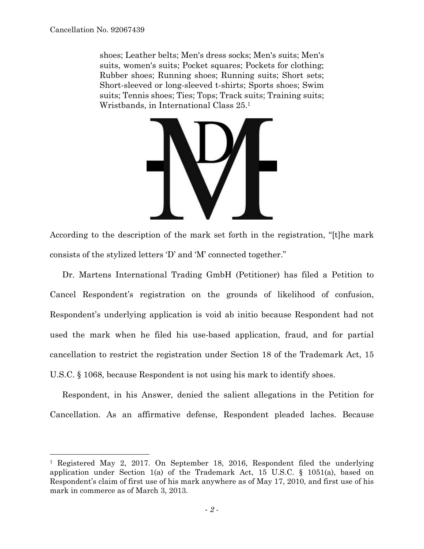$\overline{a}$ 

shoes; Leather belts; Men's dress socks; Men's suits; Men's suits, women's suits; Pocket squares; Pockets for clothing; Rubber shoes; Running shoes; Running suits; Short sets; Short-sleeved or long-sleeved t-shirts; Sports shoes; Swim suits; Tennis shoes; Ties; Tops; Track suits; Training suits; Wristbands, in International Class 25.1



According to the description of the mark set forth in the registration, "[t]he mark consists of the stylized letters 'D' and 'M' connected together."

Dr. Martens International Trading GmbH (Petitioner) has filed a Petition to Cancel Respondent's registration on the grounds of likelihood of confusion, Respondent's underlying application is void ab initio because Respondent had not used the mark when he filed his use-based application, fraud, and for partial cancellation to restrict the registration under Section 18 of the Trademark Act, 15 U.S.C. § 1068, because Respondent is not using his mark to identify shoes.

Respondent, in his Answer, denied the salient allegations in the Petition for Cancellation. As an affirmative defense, Respondent pleaded laches. Because

<sup>1</sup> Registered May 2, 2017. On September 18, 2016, Respondent filed the underlying application under Section 1(a) of the Trademark Act, 15 U.S.C. § 1051(a), based on Respondent's claim of first use of his mark anywhere as of May 17, 2010, and first use of his mark in commerce as of March 3, 2013.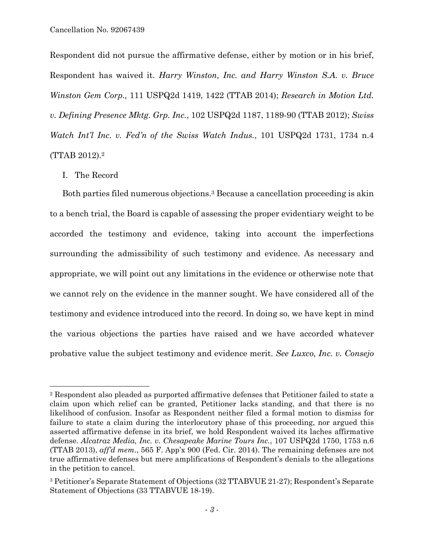Respondent did not pursue the affirmative defense, either by motion or in his brief, Respondent has waived it. *Harry Winston, Inc. and Harry Winston S.A. v. Bruce Winston Gem Corp.,* 111 USPQ2d 1419, 1422 (TTAB 2014); *Research in Motion Ltd. v. Defining Presence Mktg. Grp. Inc.*, 102 USPQ2d 1187, 1189-90 (TTAB 2012); *Swiss Watch Int'l Inc. v. Fed'n of the Swiss Watch Indus.*, 101 USPQ2d 1731, 1734 n.4 (TTAB 2012).2

I. The Record

l

Both parties filed numerous objections.<sup>3</sup> Because a cancellation proceeding is akin to a bench trial, the Board is capable of assessing the proper evidentiary weight to be accorded the testimony and evidence, taking into account the imperfections surrounding the admissibility of such testimony and evidence. As necessary and appropriate, we will point out any limitations in the evidence or otherwise note that we cannot rely on the evidence in the manner sought. We have considered all of the testimony and evidence introduced into the record. In doing so, we have kept in mind the various objections the parties have raised and we have accorded whatever probative value the subject testimony and evidence merit. *See Luxco, Inc. v. Consejo* 

<sup>2</sup> Respondent also pleaded as purported affirmative defenses that Petitioner failed to state a claim upon which relief can be granted, Petitioner lacks standing, and that there is no likelihood of confusion. Insofar as Respondent neither filed a formal motion to dismiss for failure to state a claim during the interlocutory phase of this proceeding, nor argued this asserted affirmative defense in its brief, we hold Respondent waived its laches affirmative defense. *Alcatraz Media, Inc. v. Chesapeake Marine Tours Inc.*, 107 USPQ2d 1750, 1753 n.6 (TTAB 2013), *aff'd mem*., 565 F. App'x 900 (Fed. Cir. 2014). The remaining defenses are not true affirmative defenses but mere amplifications of Respondent's denials to the allegations in the petition to cancel.

<sup>3</sup> Petitioner's Separate Statement of Objections (32 TTABVUE 21-27); Respondent's Separate Statement of Objections (33 TTABVUE 18-19).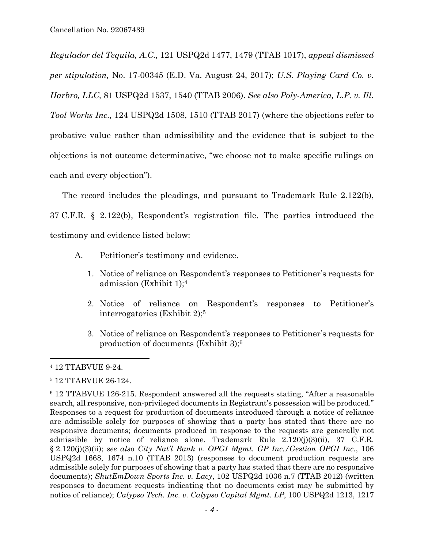*Regulador del Tequila, A.C.,* 121 USPQ2d 1477, 1479 (TTAB 1017), *appeal dismissed per stipulation,* No. 17-00345 (E.D. Va. August 24, 2017); *U.S. Playing Card Co. v. Harbro, LLC,* 81 USPQ2d 1537, 1540 (TTAB 2006). *See also Poly-America, L.P. v. Ill. Tool Works Inc.,* 124 USPQ2d 1508, 1510 (TTAB 2017) (where the objections refer to probative value rather than admissibility and the evidence that is subject to the objections is not outcome determinative, "we choose not to make specific rulings on each and every objection").

The record includes the pleadings, and pursuant to Trademark Rule 2.122(b), 37 C.F.R. § 2.122(b), Respondent's registration file. The parties introduced the testimony and evidence listed below:

- A. Petitioner's testimony and evidence.
	- 1. Notice of reliance on Respondent's responses to Petitioner's requests for admission (Exhibit 1);4
	- 2. Notice of reliance on Respondent's responses to Petitioner's interrogatories (Exhibit 2);5
	- 3. Notice of reliance on Respondent's responses to Petitioner's requests for production of documents (Exhibit 3);6

1

<sup>4 12</sup> TTABVUE 9-24.

<sup>5 12</sup> TTABVUE 26-124.

<sup>6 12</sup> TTABVUE 126-215. Respondent answered all the requests stating, "After a reasonable search, all responsive, non-privileged documents in Registrant's possession will be produced." Responses to a request for production of documents introduced through a notice of reliance are admissible solely for purposes of showing that a party has stated that there are no responsive documents; documents produced in response to the requests are generally not admissible by notice of reliance alone. Trademark Rule  $2.120(j)(3)(ii)$ , 37 C.F.R. § 2.120(j)(3)(ii); *see also City Nat'l Bank v. OPGI Mgmt. GP Inc./Gestion OPGI Inc.*, 106 USPQ2d 1668, 1674 n.10 (TTAB 2013) (responses to document production requests are admissible solely for purposes of showing that a party has stated that there are no responsive documents); *ShutEmDown Sports Inc. v. Lacy*, 102 USPQ2d 1036 n.7 (TTAB 2012) (written responses to document requests indicating that no documents exist may be submitted by notice of reliance); *Calypso Tech. Inc. v. Calypso Capital Mgmt. LP*, 100 USPQ2d 1213, 1217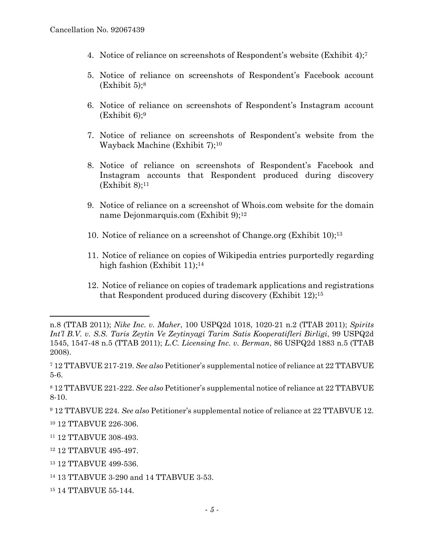- 4. Notice of reliance on screenshots of Respondent's website (Exhibit 4);7
- 5. Notice of reliance on screenshots of Respondent's Facebook account  $(Exhibit 5)$ ;<sup>8</sup>
- 6. Notice of reliance on screenshots of Respondent's Instagram account  $(Exhibit 6)$ :<sup>9</sup>
- 7. Notice of reliance on screenshots of Respondent's website from the Wayback Machine (Exhibit 7);10
- 8. Notice of reliance on screenshots of Respondent's Facebook and Instagram accounts that Respondent produced during discovery  $(Exhibit 8)$ ;<sup>11</sup>
- 9. Notice of reliance on a screenshot of Whois.com website for the domain name Dejonmarquis.com (Exhibit 9);12
- 10. Notice of reliance on a screenshot of Change.org (Exhibit 10);13
- 11. Notice of reliance on copies of Wikipedia entries purportedly regarding high fashion (Exhibit 11);<sup>14</sup>
- 12. Notice of reliance on copies of trademark applications and registrations that Respondent produced during discovery (Exhibit 12);15

 $\overline{a}$ 

- 13 12 TTABVUE 499-536.
- 14 13 TTABVUE 3-290 and 14 TTABVUE 3-53.
- 15 14 TTABVUE 55-144.

n.8 (TTAB 2011); *Nike Inc. v. Maher*, 100 USPQ2d 1018, 1020-21 n.2 (TTAB 2011); *Spirits Int'l B.V. v. S.S. Taris Zeytin Ve Zeytinyagi Tarim Satis Kooperatifleri Birligi*, 99 USPQ2d 1545, 1547-48 n.5 (TTAB 2011); *L.C. Licensing Inc. v. Berman*, 86 USPQ2d 1883 n.5 (TTAB 2008).

<sup>7 12</sup> TTABVUE 217-219. *See also* Petitioner's supplemental notice of reliance at 22 TTABVUE 5-6.

<sup>8 12</sup> TTABVUE 221-222. *See also* Petitioner's supplemental notice of reliance at 22 TTABVUE 8-10.

<sup>9 12</sup> TTABVUE 224. *See also* Petitioner's supplemental notice of reliance at 22 TTABVUE 12.

<sup>10 12</sup> TTABVUE 226-306.

<sup>11 12</sup> TTABVUE 308-493.

<sup>12 12</sup> TTABVUE 495-497.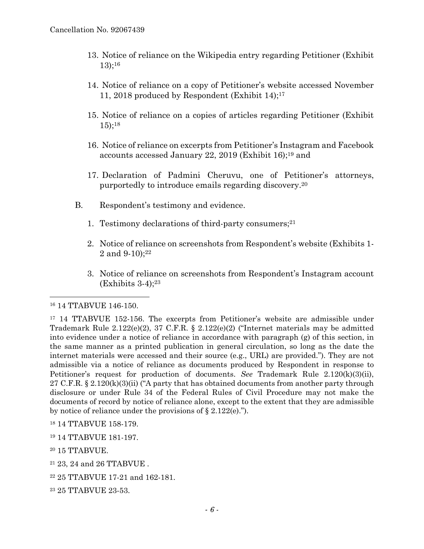- 13. Notice of reliance on the Wikipedia entry regarding Petitioner (Exhibit 13);16
- 14. Notice of reliance on a copy of Petitioner's website accessed November 11, 2018 produced by Respondent (Exhibit 14);17
- 15. Notice of reliance on a copies of articles regarding Petitioner (Exhibit 15);18
- 16. Notice of reliance on excerpts from Petitioner's Instagram and Facebook accounts accessed January 22, 2019 (Exhibit 16);19 and
- 17. Declaration of Padmini Cheruvu, one of Petitioner's attorneys, purportedly to introduce emails regarding discovery.20
- B. Respondent's testimony and evidence.
	- 1. Testimony declarations of third-party consumers;21
	- 2. Notice of reliance on screenshots from Respondent's website (Exhibits 1- 2 and  $9-10$ ;<sup>22</sup>
	- 3. Notice of reliance on screenshots from Respondent's Instagram account  $(Exhibits 3-4):^{23}$

## 16 14 TTABVUE 146-150.

l

<sup>17</sup> 14 TTABVUE 152-156. The excerpts from Petitioner's website are admissible under Trademark Rule  $2.122(e)(2)$ , 37 C.F.R. §  $2.122(e)(2)$  ("Internet materials may be admitted into evidence under a notice of reliance in accordance with paragraph (g) of this section, in the same manner as a printed publication in general circulation, so long as the date the internet materials were accessed and their source (e.g., URL) are provided."). They are not admissible via a notice of reliance as documents produced by Respondent in response to Petitioner's request for production of documents. *See* Trademark Rule 2.120(k)(3)(ii), 27 C.F.R. § 2.120(k)(3)(ii) ("A party that has obtained documents from another party through disclosure or under Rule 34 of the Federal Rules of Civil Procedure may not make the documents of record by notice of reliance alone, except to the extent that they are admissible by notice of reliance under the provisions of  $\S 2.122(e)$ .").

- 18 14 TTABVUE 158-179.
- 19 14 TTABVUE 181-197.
- 20 15 TTABVUE.
- 21 23, 24 and 26 TTABVUE .
- 22 25 TTABVUE 17-21 and 162-181.
- 23 25 TTABVUE 23-53.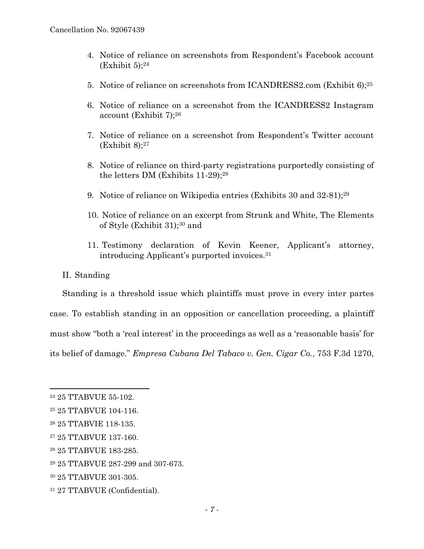- 4. Notice of reliance on screenshots from Respondent's Facebook account  $(Exhibit 5):^{24}$
- 5. Notice of reliance on screenshots from ICANDRESS2.com (Exhibit 6);25
- 6. Notice of reliance on a screenshot from the ICANDRESS2 Instagram account (Exhibit 7);26
- 7. Notice of reliance on a screenshot from Respondent's Twitter account  $(Exhibit 8)$ ;<sup>27</sup>
- 8. Notice of reliance on third-party registrations purportedly consisting of the letters DM (Exhibits 11-29);28
- 9. Notice of reliance on Wikipedia entries (Exhibits 30 and 32-81);29
- 10. Notice of reliance on an excerpt from Strunk and White, The Elements of Style (Exhibit 31);30 and
- 11. Testimony declaration of Kevin Keener, Applicant's attorney, introducing Applicant's purported invoices.31
- II. Standing

Standing is a threshold issue which plaintiffs must prove in every inter partes case. To establish standing in an opposition or cancellation proceeding, a plaintiff must show "both a 'real interest' in the proceedings as well as a 'reasonable basis' for its belief of damage." *Empresa Cubana Del Tabaco v. Gen. Cigar Co.*, 753 F.3d 1270,

1

- 30 25 TTABVUE 301-305.
- 31 27 TTABVUE (Confidential).

<sup>24 25</sup> TTABVUE 55-102.

<sup>25 25</sup> TTABVUE 104-116.

<sup>26 25</sup> TTABVIE 118-135.

<sup>27 25</sup> TTABVUE 137-160.

<sup>28 25</sup> TTABVUE 183-285.

<sup>29 25</sup> TTABVUE 287-299 and 307-673.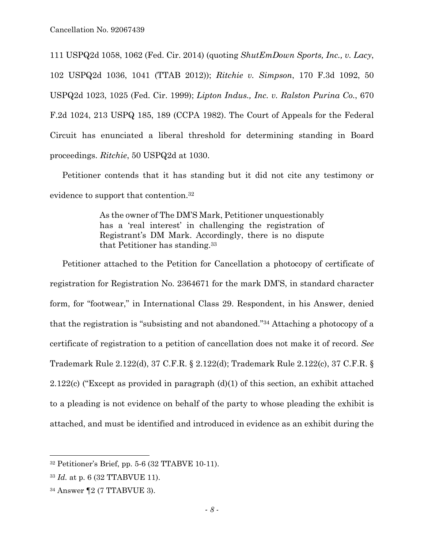111 USPQ2d 1058, 1062 (Fed. Cir. 2014) (quoting *ShutEmDown Sports, Inc., v. Lacy*, 102 USPQ2d 1036, 1041 (TTAB 2012)); *Ritchie v. Simpson*, 170 F.3d 1092, 50 USPQ2d 1023, 1025 (Fed. Cir. 1999); *Lipton Indus., Inc. v. Ralston Purina Co.*, 670 F.2d 1024, 213 USPQ 185, 189 (CCPA 1982). The Court of Appeals for the Federal Circuit has enunciated a liberal threshold for determining standing in Board proceedings. *Ritchie*, 50 USPQ2d at 1030.

Petitioner contends that it has standing but it did not cite any testimony or evidence to support that contention.32

> As the owner of The DM'S Mark, Petitioner unquestionably has a 'real interest' in challenging the registration of Registrant's DM Mark. Accordingly, there is no dispute that Petitioner has standing.33

Petitioner attached to the Petition for Cancellation a photocopy of certificate of registration for Registration No. 2364671 for the mark DM'S, in standard character form, for "footwear," in International Class 29. Respondent, in his Answer, denied that the registration is "subsisting and not abandoned."34 Attaching a photocopy of a certificate of registration to a petition of cancellation does not make it of record. *See*  Trademark Rule 2.122(d), 37 C.F.R. § 2.122(d); Trademark Rule 2.122(c), 37 C.F.R. § 2.122(c) ("Except as provided in paragraph (d)(1) of this section, an exhibit attached to a pleading is not evidence on behalf of the party to whose pleading the exhibit is attached, and must be identified and introduced in evidence as an exhibit during the

l

 $32$  Petitioner's Brief, pp. 5-6 (32 TTABVE 10-11).

<sup>33</sup> *Id.* at p. 6 (32 TTABVUE 11).

<sup>34</sup> Answer ¶2 (7 TTABVUE 3).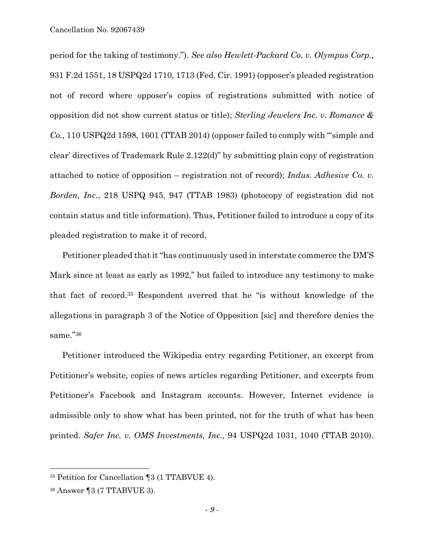period for the taking of testimony."). *See also Hewlett-Packard Co. v. Olympus Corp.*, 931 F.2d 1551, 18 USPQ2d 1710, 1713 (Fed. Cir. 1991) (opposer's pleaded registration not of record where opposer's copies of registrations submitted with notice of opposition did not show current status or title); *Sterling Jewelers Inc. v. Romance & Co.*, 110 USPQ2d 1598, 1601 (TTAB 2014) (opposer failed to comply with "'simple and clear' directives of Trademark Rule 2.122(d)" by submitting plain copy of registration attached to notice of opposition – registration not of record); *Indus. Adhesive Co. v. Borden, Inc.*, 218 USPQ 945, 947 (TTAB 1983) (photocopy of registration did not contain status and title information). Thus, Petitioner failed to introduce a copy of its pleaded registration to make it of record.

Petitioner pleaded that it "has continuously used in interstate commerce the DM'S Mark since at least as early as 1992," but failed to introduce any testimony to make that fact of record.35 Respondent averred that he "is without knowledge of the allegations in paragraph 3 of the Notice of Opposition [sic] and therefore denies the same."36

Petitioner introduced the Wikipedia entry regarding Petitioner, an excerpt from Petitioner's website, copies of news articles regarding Petitioner, and excerpts from Petitioner's Facebook and Instagram accounts. However, Internet evidence is admissible only to show what has been printed, not for the truth of what has been printed. *Safer Inc. v. OMS Investments, Inc.,* 94 USPQ2d 1031, 1040 (TTAB 2010).

1

<sup>35</sup> Petition for Cancellation ¶3 (1 TTABVUE 4).

<sup>36</sup> Answer ¶3 (7 TTABVUE 3).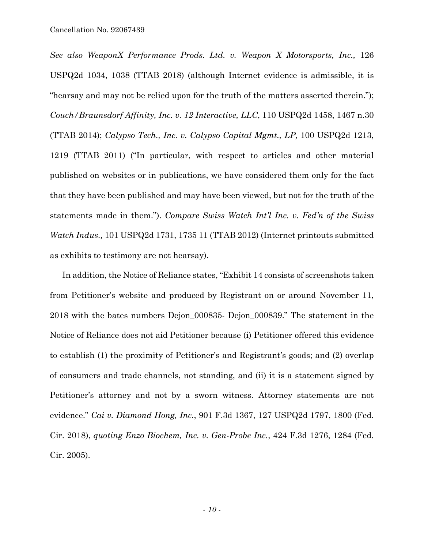*See also WeaponX Performance Prods. Ltd. v. Weapon X Motorsports, Inc.,* 126 USPQ2d 1034, 1038 (TTAB 2018) (although Internet evidence is admissible, it is "hearsay and may not be relied upon for the truth of the matters asserted therein."); *Couch/Braunsdorf Affinity, Inc. v. 12 Interactive, LLC*, 110 USPQ2d 1458, 1467 n.30 (TTAB 2014); *Calypso Tech., Inc. v. Calypso Capital Mgmt., LP,* 100 USPQ2d 1213, 1219 (TTAB 2011) ("In particular, with respect to articles and other material published on websites or in publications, we have considered them only for the fact that they have been published and may have been viewed, but not for the truth of the statements made in them."). *Compare Swiss Watch Int'l Inc. v. Fed'n of the Swiss Watch Indus.,* 101 USPQ2d 1731, 1735 11 (TTAB 2012) (Internet printouts submitted as exhibits to testimony are not hearsay).

In addition, the Notice of Reliance states, "Exhibit 14 consists of screenshots taken from Petitioner's website and produced by Registrant on or around November 11, 2018 with the bates numbers Dejon\_000835- Dejon\_000839." The statement in the Notice of Reliance does not aid Petitioner because (i) Petitioner offered this evidence to establish (1) the proximity of Petitioner's and Registrant's goods; and (2) overlap of consumers and trade channels, not standing, and (ii) it is a statement signed by Petitioner's attorney and not by a sworn witness. Attorney statements are not evidence." *Cai v. Diamond Hong, Inc.*, 901 F.3d 1367, 127 USPQ2d 1797, 1800 (Fed. Cir. 2018), *quoting Enzo Biochem, Inc. v. Gen-Probe Inc.*, 424 F.3d 1276, 1284 (Fed. Cir. 2005).